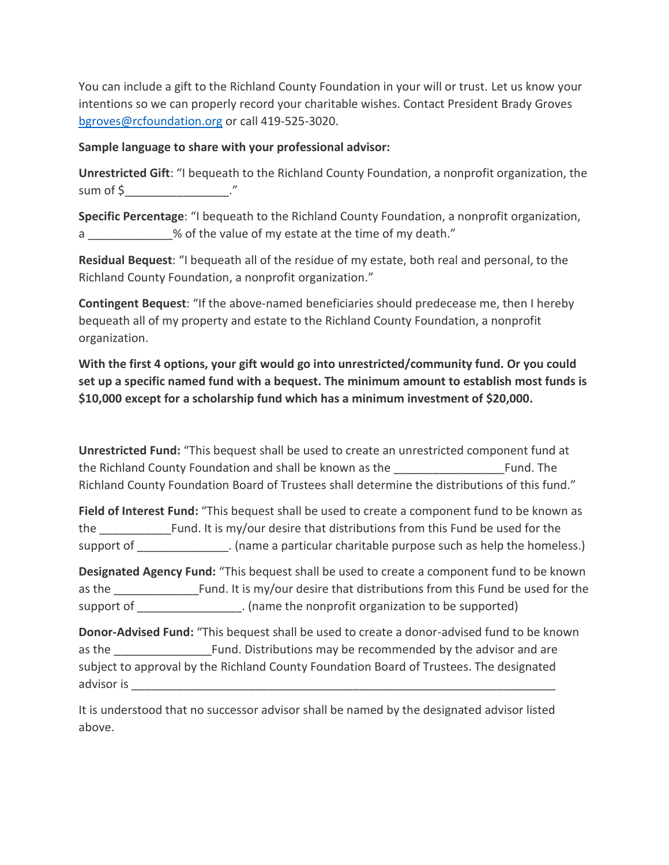You can include a gift to the Richland County Foundation in your will or trust. Let us know your intentions so we can properly record your charitable wishes. Contact President Brady Groves [bgroves@rcfoundation.org](mailto:bgroves@rcfoundation.org) or call 419-525-3020.

## **Sample language to share with your professional advisor:**

**Unrestricted Gift**: "I bequeath to the Richland County Foundation, a nonprofit organization, the sum of  $\frac{2}{3}$   $\frac{3}{2}$   $\frac{3}{2}$   $\frac{3}{2}$   $\frac{3}{2}$   $\frac{3}{2}$   $\frac{3}{2}$   $\frac{3}{2}$   $\frac{3}{2}$   $\frac{3}{2}$   $\frac{3}{2}$   $\frac{3}{2}$   $\frac{3}{2}$   $\frac{3}{2}$   $\frac{3}{2}$   $\frac{3}{2}$   $\frac{3}{2}$   $\frac{3}{2}$   $\frac{3}{2}$   $\frac{3}{2}$   $\frac{3}{2}$   $\frac{$ 

**Specific Percentage**: "I bequeath to the Richland County Foundation, a nonprofit organization, a \_\_\_\_\_\_\_\_\_\_\_\_\_% of the value of my estate at the time of my death."

**Residual Bequest**: "I bequeath all of the residue of my estate, both real and personal, to the Richland County Foundation, a nonprofit organization."

**Contingent Bequest**: "If the above-named beneficiaries should predecease me, then I hereby bequeath all of my property and estate to the Richland County Foundation, a nonprofit organization.

**With the first 4 options, your gift would go into unrestricted/community fund. Or you could set up a specific named fund with a bequest. The minimum amount to establish most funds is \$10,000 except for a scholarship fund which has a minimum investment of \$20,000.** 

**Unrestricted Fund:** "This bequest shall be used to create an unrestricted component fund at the Richland County Foundation and shall be known as the \_\_\_\_\_\_\_\_\_\_\_\_\_\_\_\_\_Fund. The Richland County Foundation Board of Trustees shall determine the distributions of this fund."

**Field of Interest Fund:** "This bequest shall be used to create a component fund to be known as the Fund. It is my/our desire that distributions from this Fund be used for the support of  $\Box$  . (name a particular charitable purpose such as help the homeless.)

**Designated Agency Fund:** "This bequest shall be used to create a component fund to be known as the **Example 20** Fund. It is my/our desire that distributions from this Fund be used for the support of  $\qquad \qquad$  . (name the nonprofit organization to be supported)

**Donor-Advised Fund:** "This bequest shall be used to create a donor-advised fund to be known as the **EXALC EXALCE FUNDER** Fund. Distributions may be recommended by the advisor and are subject to approval by the Richland County Foundation Board of Trustees. The designated advisor is **and** 

It is understood that no successor advisor shall be named by the designated advisor listed above.